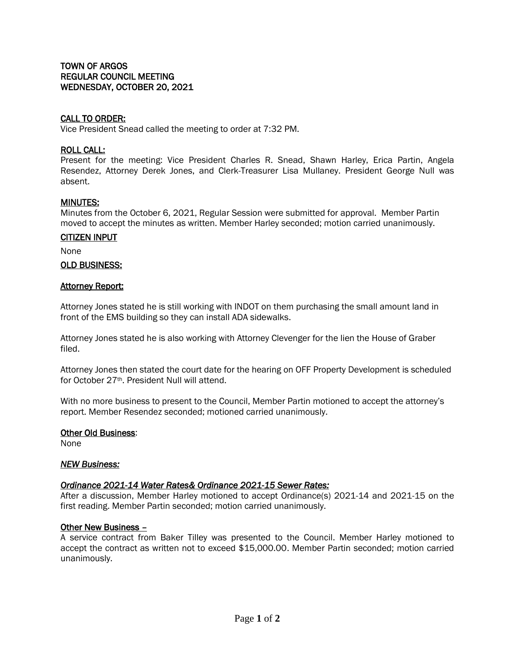# CALL TO ORDER:

Vice President Snead called the meeting to order at 7:32 PM.

### ROLL CALL:

Present for the meeting: Vice President Charles R. Snead, Shawn Harley, Erica Partin, Angela Resendez, Attorney Derek Jones, and Clerk-Treasurer Lisa Mullaney. President George Null was absent.

## MINUTES:

Minutes from the October 6, 2021, Regular Session were submitted for approval. Member Partin moved to accept the minutes as written. Member Harley seconded; motion carried unanimously.

### CITIZEN INPUT

None

### OLD BUSINESS:

### **Attorney Report:**

Attorney Jones stated he is still working with INDOT on them purchasing the small amount land in front of the EMS building so they can install ADA sidewalks.

Attorney Jones stated he is also working with Attorney Clevenger for the lien the House of Graber filed.

Attorney Jones then stated the court date for the hearing on OFF Property Development is scheduled for October 27th. President Null will attend.

With no more business to present to the Council, Member Partin motioned to accept the attorney's report. Member Resendez seconded; motioned carried unanimously.

#### Other Old Business:

None

## *NEW Business:*

## *Ordinance 2021-14 Water Rates& Ordinance 2021-15 Sewer Rates:*

After a discussion, Member Harley motioned to accept Ordinance(s) 2021-14 and 2021-15 on the first reading. Member Partin seconded; motion carried unanimously.

#### Other New Business –

A service contract from Baker Tilley was presented to the Council. Member Harley motioned to accept the contract as written not to exceed \$15,000.00. Member Partin seconded; motion carried unanimously.